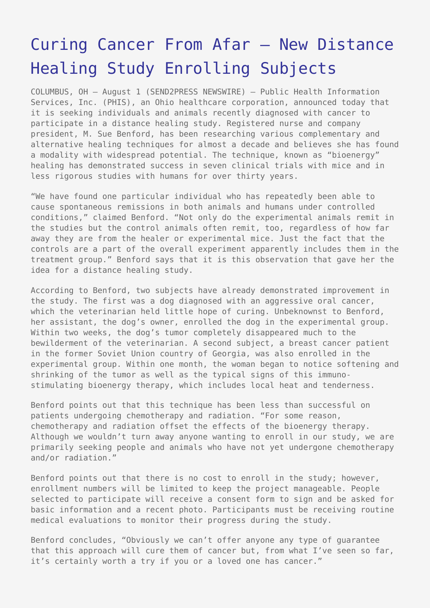## [Curing Cancer From Afar – New Distance](https://www.send2press.com/wire/2005-08-0801-003/) [Healing Study Enrolling Subjects](https://www.send2press.com/wire/2005-08-0801-003/)

COLUMBUS, OH – August 1 (SEND2PRESS NEWSWIRE) — Public Health Information Services, Inc. (PHIS), an Ohio healthcare corporation, announced today that it is seeking individuals and animals recently diagnosed with cancer to participate in a distance healing study. Registered nurse and company president, M. Sue Benford, has been researching various complementary and alternative healing techniques for almost a decade and believes she has found a modality with widespread potential. The technique, known as "bioenergy" healing has demonstrated success in seven clinical trials with mice and in less rigorous studies with humans for over thirty years.

"We have found one particular individual who has repeatedly been able to cause spontaneous remissions in both animals and humans under controlled conditions," claimed Benford. "Not only do the experimental animals remit in the studies but the control animals often remit, too, regardless of how far away they are from the healer or experimental mice. Just the fact that the controls are a part of the overall experiment apparently includes them in the treatment group." Benford says that it is this observation that gave her the idea for a distance healing study.

According to Benford, two subjects have already demonstrated improvement in the study. The first was a dog diagnosed with an aggressive oral cancer, which the veterinarian held little hope of curing. Unbeknownst to Benford, her assistant, the dog's owner, enrolled the dog in the experimental group. Within two weeks, the dog's tumor completely disappeared much to the bewilderment of the veterinarian. A second subject, a breast cancer patient in the former Soviet Union country of Georgia, was also enrolled in the experimental group. Within one month, the woman began to notice softening and shrinking of the tumor as well as the typical signs of this immunostimulating bioenergy therapy, which includes local heat and tenderness.

Benford points out that this technique has been less than successful on patients undergoing chemotherapy and radiation. "For some reason, chemotherapy and radiation offset the effects of the bioenergy therapy. Although we wouldn't turn away anyone wanting to enroll in our study, we are primarily seeking people and animals who have not yet undergone chemotherapy and/or radiation."

Benford points out that there is no cost to enroll in the study; however, enrollment numbers will be limited to keep the project manageable. People selected to participate will receive a consent form to sign and be asked for basic information and a recent photo. Participants must be receiving routine medical evaluations to monitor their progress during the study.

Benford concludes, "Obviously we can't offer anyone any type of guarantee that this approach will cure them of cancer but, from what I've seen so far, it's certainly worth a try if you or a loved one has cancer."